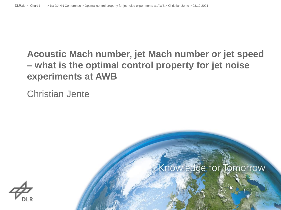# **Acoustic Mach number, jet Mach number or jet speed – what is the optimal control property for jet noise experiments at AWB**

Christian Jente



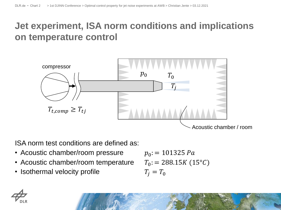# **Jet experiment, ISA norm conditions and implications on temperature control**



ISA norm test conditions are defined as:

- Acoustic chamber/room pressure
- Acoustic chamber/room temperature
- Isothermal velocity profile

$$
p_0 = 101325 Pa
$$
  
\n
$$
T_0 = 288.15K (15^{\circ}C)
$$
  
\n
$$
T_j = T_0
$$

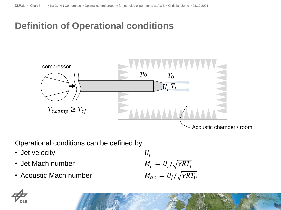# **Definition of Operational conditions**



Operational conditions can be defined by

- Jet velocity
- Jet Mach number
- Acoustic Mach number

$$
U_j
$$
  
\n
$$
M_j := U_j / \sqrt{\gamma RT_j}
$$
  
\n
$$
M_{ac} := U_j / \sqrt{\gamma RT_0}
$$

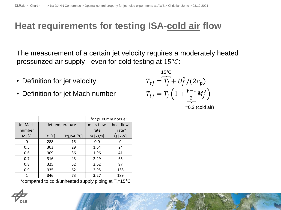## **Heat requirements for testing ISA-cold air flow**

The measurement of a certain jet velocity requires a moderately heated pressurized air supply - even for cold testing at  $15^{\circ}$ C:

- Definition for jet velocity
- Definition for jet Mach number

| $15^{\circ}$ C                                               |                   |
|--------------------------------------------------------------|-------------------|
| $T_{t} = T_i + U_i^2/(2c_p)$                                 |                   |
| $T_{tj} = T_j \left( 1 + \frac{\gamma - 1}{2} M_j^2 \right)$ |                   |
|                                                              | $=0.2$ (cold air) |

|          |                 |              | for Ø100mm nozzle: |           |
|----------|-----------------|--------------|--------------------|-----------|
| Jet Mach | Jet temperature |              | mass flow          | heat flow |
| number   |                 |              | rate               | $rate*$   |
| $Mj$ [-] | $T$ tj $[K]$    | Ttj,ISA [°C] | $\dot{m}$ [kg/s]   | $Q$ [kW]  |
| O        | 288             | 15           | 0.0                | O         |
| 0.5      | 303             | 29           | 1.64               | 24        |
| 0.6      | 309             | 36           | 1.96               | 41        |
| 0.7      | 316             | 43           | 2.29               | 65        |
| 0.8      | 325             | 52           | 2.62               | 97        |
| 0.9      | 335             | 62           | 2.95               | 138       |
| 1        | 346             | 73           | 3.27               | 189       |

\*compared to cold/unheated supply piping at  $T_t=15^{\circ}C$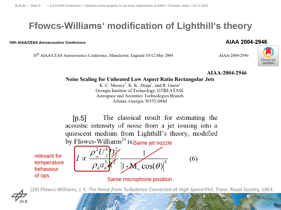# **Ffowcs-Williams' modification of Lighthill's theory**

#### 10th AIAA/CEAS Aeroacoustics Conference

10<sup>th</sup> AIAA/CEAS Aeroacoustics Conference, Manchester, England 10-12 May 2004

AJAA-2004-2946



AIAA-2004-2946

### **Noise Scaling for Unheated Low Aspect Ratio Rectangular Jets**

K. C. Massey<sup>\*</sup>, K. K. Ahuja<sup>†</sup>, and R. Gaeta<sup>‡</sup> Georgia Institute of Technology, GTRI/ATASL Aerospace and Acoustics Technologies Branch Atlanta, Georgia 30332-0844

The classical result for estimating the  $[p.5]$ acoustic intensity of noise from a jet issuing into a quiescent medium from Lighthill's theory, modified by Ffowcs-Williams<sup>24</sup> is;Same jet nozzle

relevant for temperature behaviour of ops



Same microphone position



[24] Ffowcs-Williams, J. E. *The Noise from Turbulence Convected at High Speed* Phil. Trans. Royal Society, 1963.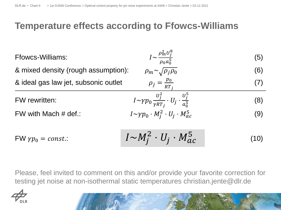## **Temperature effects according to Ffowcs-Williams**

| <b>Ffowcs-Williams:</b>              | $I \sim \frac{\rho_m^2 U_j^8}{\rho_0 a_0^5}$                                      | (5)  |
|--------------------------------------|-----------------------------------------------------------------------------------|------|
| & mixed density (rough assumption):  | $\rho_m \sim \sqrt{\rho_j \rho_0}$                                                | (6)  |
| & ideal gas law jet, subsonic outlet | $\rho_j = \frac{p_0}{RT_i}$                                                       | (7)  |
| <b>FW</b> rewritten:                 | $I \sim \gamma p_0 \frac{U_f^2}{\gamma RT_i} \cdot U_j \cdot \frac{U_f^5}{a_0^5}$ | (8)  |
| FW with Mach $#$ def.:               | $I \sim \gamma p_0 \cdot M_i^2 \cdot U_i \cdot M_{ac}^5$                          | (9)  |
| $FW \gamma p_0 = const.$             | $I \sim M_i^2 \cdot U_i \cdot M_{ac}^5$                                           | (10) |

Please, feel invited to comment on this and/or provide your favorite correction for testing jet noise at non-isothermal static temperatures christian.jente@dlr.de

$$
\overrightarrow{\mathcal{A}}_{\text{DLR}}
$$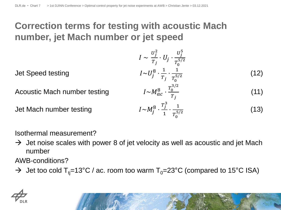# **Correction terms for testing with acoustic Mach number, jet Mach number or jet speed**

 $I \sim$  $U_j^2$  $\frac{c_j}{r_j}\cdot U_j$ .  $U_j^5$  $T_0^{5/2}$ Jet Speed testing  $\frac{8}{1} \cdot \frac{1}{\pi}$  $T_j$  $\cdot \frac{1}{5}$  $T_0^{5/2}$ (12)  $\frac{1}{6}$   $\frac{10^{3/2}}{1}$  $T_j$ (11)  $\frac{8}{1}$ .  $T_j^3$  $\frac{r_1^3}{1} \cdot \frac{1}{T_2^{5/3}}$  $T_0^{5/2}$ (13)

Acoustic Mach number testing

Jet Mach number testing

Isothermal measurement?

 $\rightarrow$  Jet noise scales with power 8 of jet velocity as well as acoustic and jet Mach number

AWB-conditions?

 $\rightarrow$  Jet too cold T<sub>tj</sub>=13°C / ac. room too warm T<sub>0</sub>=23°C (compared to 15°C ISA)

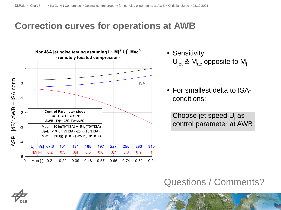### **Correction curves for operations at AWB**



- Sensitivity:  $U_{\text{jet}}$  &  $M_{\text{ac}}$  opposite to  $M_{\text{i}}$
- For smallest delta to ISAconditions:

Choose jet speed  $U_i$  as control parameter at AWB

### Questions / Comments?